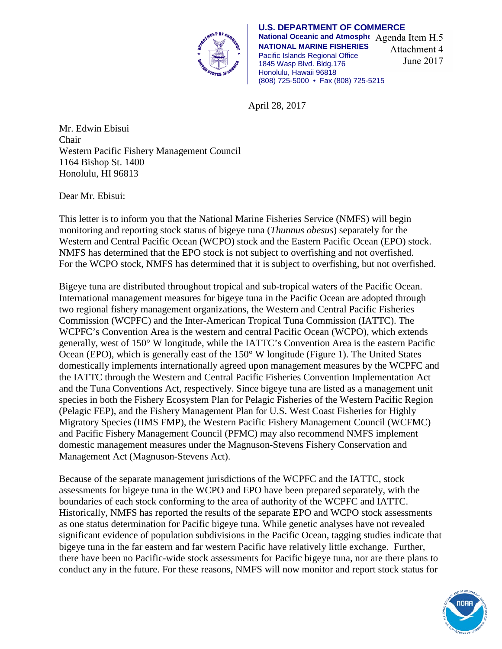

**U.S. DEPARTMENT OF COMMERCE National Oceanic and Atmosphe** Agenda Item H.5 **NATIONAL MARINE FISHERIES** Pacific Islands Regional Office 1845 Wasp Blvd. Bldg.176 Honolulu, Hawaii 96818 (808) 725-5000 • Fax (808) 725-5215 Attachment 4 June 2017

April 28, 2017

Mr. Edwin Ebisui Chair Western Pacific Fishery Management Council 1164 Bishop St. 1400 Honolulu, HI 96813

Dear Mr. Ebisui:

This letter is to inform you that the National Marine Fisheries Service (NMFS) will begin monitoring and reporting stock status of bigeye tuna (*Thunnus obesus*) separately for the Western and Central Pacific Ocean (WCPO) stock and the Eastern Pacific Ocean (EPO) stock. NMFS has determined that the EPO stock is not subject to overfishing and not overfished. For the WCPO stock, NMFS has determined that it is subject to overfishing, but not overfished.

Bigeye tuna are distributed throughout tropical and sub-tropical waters of the Pacific Ocean. International management measures for bigeye tuna in the Pacific Ocean are adopted through two regional fishery management organizations, the Western and Central Pacific Fisheries Commission (WCPFC) and the Inter-American Tropical Tuna Commission (IATTC). The WCPFC's Convention Area is the western and central Pacific Ocean (WCPO), which extends generally, west of 150° W longitude, while the IATTC's Convention Area is the eastern Pacific Ocean (EPO), which is generally east of the 150° W longitude (Figure 1). The United States domestically implements internationally agreed upon management measures by the WCPFC and the IATTC through the Western and Central Pacific Fisheries Convention Implementation Act and the Tuna Conventions Act, respectively. Since bigeye tuna are listed as a management unit species in both the Fishery Ecosystem Plan for Pelagic Fisheries of the Western Pacific Region (Pelagic FEP), and the Fishery Management Plan for U.S. West Coast Fisheries for Highly Migratory Species (HMS FMP), the Western Pacific Fishery Management Council (WCFMC) and Pacific Fishery Management Council (PFMC) may also recommend NMFS implement domestic management measures under the Magnuson-Stevens Fishery Conservation and Management Act (Magnuson-Stevens Act).

Because of the separate management jurisdictions of the WCPFC and the IATTC, stock assessments for bigeye tuna in the WCPO and EPO have been prepared separately, with the boundaries of each stock conforming to the area of authority of the WCPFC and IATTC. Historically, NMFS has reported the results of the separate EPO and WCPO stock assessments as one status determination for Pacific bigeye tuna. While genetic analyses have not revealed significant evidence of population subdivisions in the Pacific Ocean, tagging studies indicate that bigeye tuna in the far eastern and far western Pacific have relatively little exchange. Further, there have been no Pacific-wide stock assessments for Pacific bigeye tuna, nor are there plans to conduct any in the future. For these reasons, NMFS will now monitor and report stock status for

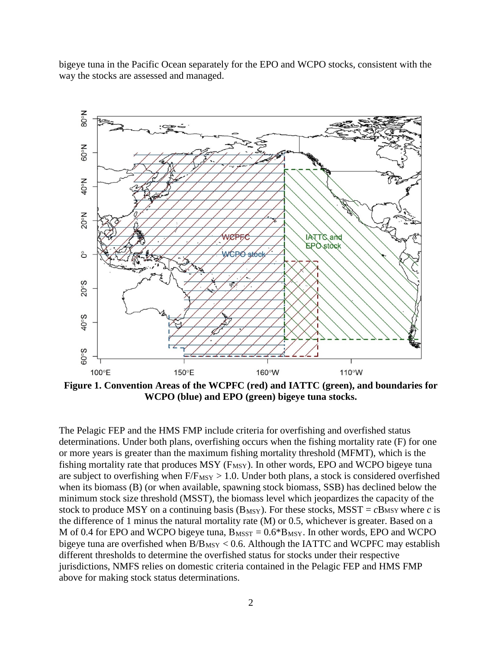bigeye tuna in the Pacific Ocean separately for the EPO and WCPO stocks, consistent with the way the stocks are assessed and managed.



**Figure 1. Convention Areas of the WCPFC (red) and IATTC (green), and boundaries for WCPO (blue) and EPO (green) bigeye tuna stocks.**

The Pelagic FEP and the HMS FMP include criteria for overfishing and overfished status determinations. Under both plans, overfishing occurs when the fishing mortality rate (F) for one or more years is greater than the maximum fishing mortality threshold (MFMT), which is the fishing mortality rate that produces MSY ( $F_{MSY}$ ). In other words, EPO and WCPO bigeye tuna are subject to overfishing when  $F/F_{MSY} > 1.0$ . Under both plans, a stock is considered overfished when its biomass (B) (or when available, spawning stock biomass, SSB) has declined below the minimum stock size threshold (MSST), the biomass level which jeopardizes the capacity of the stock to produce MSY on a continuing basis ( $B_{MSY}$ ). For these stocks, MSST =  $cB$ MSY where  $c$  is the difference of 1 minus the natural mortality rate (M) or 0.5, whichever is greater. Based on a M of 0.4 for EPO and WCPO bigeye tuna,  $B_{MST} = 0.6 * B_{MSY}$ . In other words, EPO and WCPO bigeye tuna are overfished when  $B/B_{MSY}$  < 0.6. Although the IATTC and WCPFC may establish different thresholds to determine the overfished status for stocks under their respective jurisdictions, NMFS relies on domestic criteria contained in the Pelagic FEP and HMS FMP above for making stock status determinations.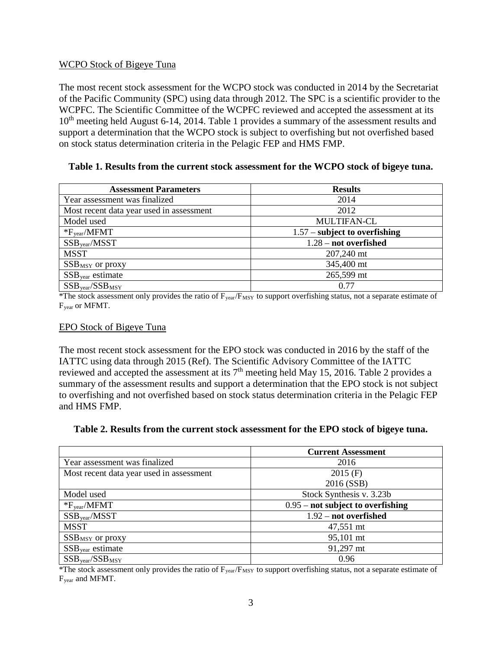## WCPO Stock of Bigeye Tuna

The most recent stock assessment for the WCPO stock was conducted in 2014 by the Secretariat of the Pacific Community (SPC) using data through 2012. The SPC is a scientific provider to the WCPFC. The Scientific Committee of the WCPFC reviewed and accepted the assessment at its 10<sup>th</sup> meeting held August 6-14, 2014. Table 1 provides a summary of the assessment results and support a determination that the WCPO stock is subject to overfishing but not overfished based on stock status determination criteria in the Pelagic FEP and HMS FMP.

## **Table 1. Results from the current stock assessment for the WCPO stock of bigeye tuna.**

| <b>Assessment Parameters</b>             | <b>Results</b>                  |
|------------------------------------------|---------------------------------|
| Year assessment was finalized            | 2014                            |
| Most recent data year used in assessment | 2012                            |
| Model used                               | <b>MULTIFAN-CL</b>              |
| $*F_{\text{year}}/MFMT$                  | $1.57$ – subject to overfishing |
| $SSB_{\text{year}}/MSST$                 | $1.28 - not overfished$         |
| <b>MSST</b>                              | 207,240 mt                      |
| $SSB_{MSY}$ or proxy                     | 345,400 mt                      |
| $SSB_{\text{year}}$ estimate             | 265,599 mt                      |
| $SSB_{\text{year}}/SSB_{\text{MSY}}$     | 0.77                            |

\*The stock assessment only provides the ratio of  $F_{\text{year}}/F_{\text{MSY}}$  to support overfishing status, not a separate estimate of Fyear or MFMT.

## EPO Stock of Bigeye Tuna

The most recent stock assessment for the EPO stock was conducted in 2016 by the staff of the IATTC using data through 2015 (Ref). The Scientific Advisory Committee of the IATTC reviewed and accepted the assessment at its 7<sup>th</sup> meeting held May 15, 2016. Table 2 provides a summary of the assessment results and support a determination that the EPO stock is not subject to overfishing and not overfished based on stock status determination criteria in the Pelagic FEP and HMS FMP.

## **Table 2. Results from the current stock assessment for the EPO stock of bigeye tuna.**

|                                              | <b>Current Assessment</b>           |
|----------------------------------------------|-------------------------------------|
| Year assessment was finalized                | 2016                                |
| Most recent data year used in assessment     | $2015$ (F)                          |
|                                              | 2016 (SSB)                          |
| Model used                                   | Stock Synthesis v. 3.23b            |
| $*F_{\text{year}}/MFMT$                      | $0.95$ – not subject to overfishing |
| $SSB$ <sub>year</sub> /MSST                  | $1.92$ – not overfished             |
| <b>MSST</b>                                  | 47,551 mt                           |
| $SSB$ <sub>MSY</sub> or proxy                | 95,101 mt                           |
| $SSB$ <sub>year</sub> estimate               | 91,297 mt                           |
| $SSB$ <sub>year</sub> / $SSB$ <sub>MSY</sub> | 0.96                                |

\*The stock assessment only provides the ratio of  $F_{year}/F_{MSY}$  to support overfishing status, not a separate estimate of Fyear and MFMT.